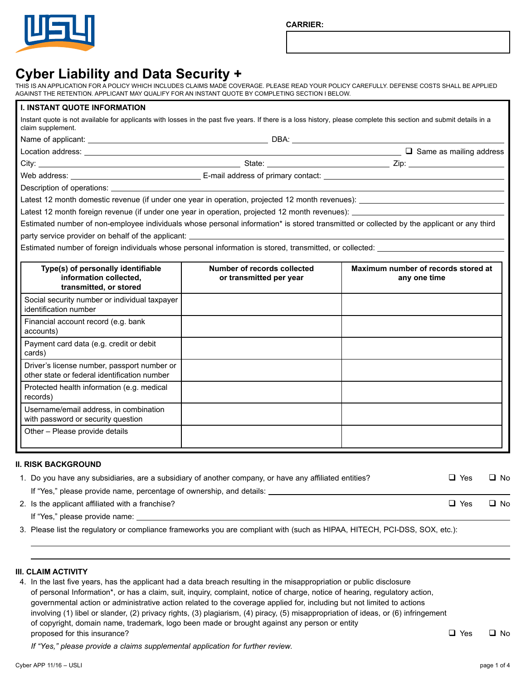

**CARRIER:**

# **Cyber Liability and Data Security +**

THIS IS AN APPLICATION FOR A POLICY WHICH INCLUDES CLAIMS MADE COVERAGE. PLEASE READ YOUR POLICY CAREFULLY. DEFENSE COSTS SHALL BE APPLIED AGAINST THE RETENTION. APPLICANT MAY QUALIFY FOR AN INSTANT QUOTE BY COMPLETING SECTION I BELOW.

| <b>I. INSTANT QUOTE INFORMATION</b>                                                                                                                                                     |                                                        |                                                                                                                   |
|-----------------------------------------------------------------------------------------------------------------------------------------------------------------------------------------|--------------------------------------------------------|-------------------------------------------------------------------------------------------------------------------|
| Instant quote is not available for applicants with losses in the past five years. If there is a loss history, please complete this section and submit details in a<br>claim supplement. |                                                        |                                                                                                                   |
|                                                                                                                                                                                         |                                                        |                                                                                                                   |
|                                                                                                                                                                                         |                                                        |                                                                                                                   |
|                                                                                                                                                                                         |                                                        |                                                                                                                   |
|                                                                                                                                                                                         |                                                        |                                                                                                                   |
|                                                                                                                                                                                         |                                                        |                                                                                                                   |
|                                                                                                                                                                                         |                                                        |                                                                                                                   |
|                                                                                                                                                                                         |                                                        | Latest 12 month foreign revenue (if under one year in operation, projected 12 month revenues): __________________ |
| Estimated number of non-employee individuals whose personal information* is stored transmitted or collected by the applicant or any third                                               |                                                        |                                                                                                                   |
|                                                                                                                                                                                         |                                                        |                                                                                                                   |
|                                                                                                                                                                                         |                                                        |                                                                                                                   |
| Type(s) of personally identifiable<br>information collected,<br>transmitted, or stored                                                                                                  | Number of records collected<br>or transmitted per year | Maximum number of records stored at<br>any one time                                                               |
| Social security number or individual taxpayer<br>identification number                                                                                                                  |                                                        |                                                                                                                   |
| Financial account record (e.g. bank<br>accounts)                                                                                                                                        |                                                        |                                                                                                                   |
| Payment card data (e.g. credit or debit<br>cards)                                                                                                                                       |                                                        |                                                                                                                   |
| Driver's license number, passport number or<br>other state or federal identification number                                                                                             |                                                        |                                                                                                                   |
| Protected health information (e.g. medical<br>records)                                                                                                                                  |                                                        |                                                                                                                   |
| Username/email address, in combination<br>with password or security question                                                                                                            |                                                        |                                                                                                                   |
| Other - Please provide details                                                                                                                                                          |                                                        |                                                                                                                   |

### **II. RISK BACKGROUND**

| 1. Do you have any subsidiaries, are a subsidiary of another company, or have any affiliated entities? | コ Yes      | □ No |
|--------------------------------------------------------------------------------------------------------|------------|------|
| If "Yes," please provide name, percentage of ownership, and details:                                   |            |      |
| 2. Is the applicant affiliated with a franchise?                                                       | $\Box$ Yes | □ No |
| If "Yes," please provide name:                                                                         |            |      |

3. Please list the regulatory or compliance frameworks you are compliant with (such as HIPAA, HITECH, PCI-DSS, SOX, etc.):

## **III. CLAIM ACTIVITY**

4. In the last five years, has the applicant had a data breach resulting in the misappropriation or public disclosure of personal Information\*, or has a claim, suit, inquiry, complaint, notice of charge, notice of hearing, regulatory action, governmental action or administrative action related to the coverage applied for, including but not limited to actions involving (1) libel or slander, (2) privacy rights, (3) plagiarism, (4) piracy, (5) misappropriation of ideas, or (6) infringement of copyright, domain name, trademark, logo been made or brought against any person or entity proposed for this insurance?  $\Box$  Yes  $\Box$  No

 *If "Yes," please provide a claims supplemental application for further review.*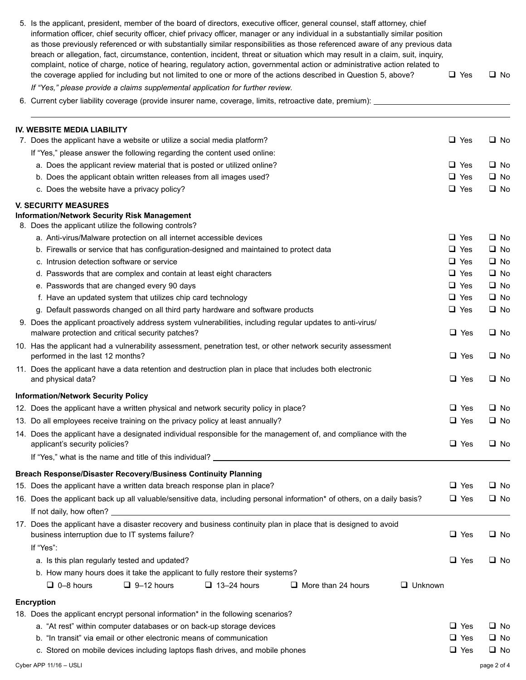| 5. Is the applicant, president, member of the board of directors, executive officer, general counsel, staff attorney, chief<br>information officer, chief security officer, chief privacy officer, manager or any individual in a substantially similar position<br>as those previously referenced or with substantially similar responsibilities as those referenced aware of any previous data<br>breach or allegation, fact, circumstance, contention, incident, threat or situation which may result in a claim, suit, inquiry,<br>complaint, notice of charge, notice of hearing, regulatory action, governmental action or administrative action related to |  |            |             |           |
|-------------------------------------------------------------------------------------------------------------------------------------------------------------------------------------------------------------------------------------------------------------------------------------------------------------------------------------------------------------------------------------------------------------------------------------------------------------------------------------------------------------------------------------------------------------------------------------------------------------------------------------------------------------------|--|------------|-------------|-----------|
| the coverage applied for including but not limited to one or more of the actions described in Question 5, above?                                                                                                                                                                                                                                                                                                                                                                                                                                                                                                                                                  |  | $\Box$ Yes |             | $\Box$ No |
| If "Yes," please provide a claims supplemental application for further review.                                                                                                                                                                                                                                                                                                                                                                                                                                                                                                                                                                                    |  |            |             |           |
| 6. Current cyber liability coverage (provide insurer name, coverage, limits, retroactive date, premium): ________                                                                                                                                                                                                                                                                                                                                                                                                                                                                                                                                                 |  |            |             |           |
|                                                                                                                                                                                                                                                                                                                                                                                                                                                                                                                                                                                                                                                                   |  |            |             |           |
| <b>IV. WEBSITE MEDIA LIABILITY</b><br>7. Does the applicant have a website or utilize a social media platform?                                                                                                                                                                                                                                                                                                                                                                                                                                                                                                                                                    |  | $\Box$ Yes |             | $\Box$ No |
| If "Yes," please answer the following regarding the content used online:                                                                                                                                                                                                                                                                                                                                                                                                                                                                                                                                                                                          |  |            |             |           |
| a. Does the applicant review material that is posted or utilized online?                                                                                                                                                                                                                                                                                                                                                                                                                                                                                                                                                                                          |  | $\Box$ Yes |             | $\Box$ No |
| b. Does the applicant obtain written releases from all images used?                                                                                                                                                                                                                                                                                                                                                                                                                                                                                                                                                                                               |  | $\Box$ Yes |             | $\Box$ No |
| c. Does the website have a privacy policy?                                                                                                                                                                                                                                                                                                                                                                                                                                                                                                                                                                                                                        |  | $\Box$ Yes |             | $\Box$ No |
| <b>V. SECURITY MEASURES</b>                                                                                                                                                                                                                                                                                                                                                                                                                                                                                                                                                                                                                                       |  |            |             |           |
| <b>Information/Network Security Risk Management</b><br>8. Does the applicant utilize the following controls?                                                                                                                                                                                                                                                                                                                                                                                                                                                                                                                                                      |  |            |             |           |
| a. Anti-virus/Malware protection on all internet accessible devices                                                                                                                                                                                                                                                                                                                                                                                                                                                                                                                                                                                               |  | $\Box$ Yes |             | $\Box$ No |
| b. Firewalls or service that has configuration-designed and maintained to protect data                                                                                                                                                                                                                                                                                                                                                                                                                                                                                                                                                                            |  | $\Box$ Yes |             | $\Box$ No |
| c. Intrusion detection software or service                                                                                                                                                                                                                                                                                                                                                                                                                                                                                                                                                                                                                        |  | $\Box$ Yes |             | $\Box$ No |
| d. Passwords that are complex and contain at least eight characters                                                                                                                                                                                                                                                                                                                                                                                                                                                                                                                                                                                               |  | $\Box$ Yes |             | $\Box$ No |
| e. Passwords that are changed every 90 days                                                                                                                                                                                                                                                                                                                                                                                                                                                                                                                                                                                                                       |  | $\Box$ Yes |             | $\Box$ No |
| f. Have an updated system that utilizes chip card technology                                                                                                                                                                                                                                                                                                                                                                                                                                                                                                                                                                                                      |  | $\Box$ Yes |             | $\Box$ No |
| g. Default passwords changed on all third party hardware and software products                                                                                                                                                                                                                                                                                                                                                                                                                                                                                                                                                                                    |  | $\Box$ Yes |             | $\Box$ No |
| 9. Does the applicant proactively address system vulnerabilities, including regular updates to anti-virus/<br>malware protection and critical security patches?                                                                                                                                                                                                                                                                                                                                                                                                                                                                                                   |  | $\Box$ Yes |             | $\Box$ No |
| 10. Has the applicant had a vulnerability assessment, penetration test, or other network security assessment<br>performed in the last 12 months?                                                                                                                                                                                                                                                                                                                                                                                                                                                                                                                  |  | $\Box$ Yes |             | $\Box$ No |
| 11. Does the applicant have a data retention and destruction plan in place that includes both electronic<br>and physical data?                                                                                                                                                                                                                                                                                                                                                                                                                                                                                                                                    |  | $\Box$ Yes |             | $\Box$ No |
| <b>Information/Network Security Policy</b>                                                                                                                                                                                                                                                                                                                                                                                                                                                                                                                                                                                                                        |  |            |             |           |
| 12. Does the applicant have a written physical and network security policy in place?                                                                                                                                                                                                                                                                                                                                                                                                                                                                                                                                                                              |  | $\Box$ Yes |             | $\Box$ No |
| 13. Do all employees receive training on the privacy policy at least annually?                                                                                                                                                                                                                                                                                                                                                                                                                                                                                                                                                                                    |  | $\Box$ Yes |             | $\Box$ No |
| 14. Does the applicant have a designated individual responsible for the management of, and compliance with the                                                                                                                                                                                                                                                                                                                                                                                                                                                                                                                                                    |  |            |             |           |
| applicant's security policies?                                                                                                                                                                                                                                                                                                                                                                                                                                                                                                                                                                                                                                    |  | $\Box$ Yes |             | $\Box$ No |
|                                                                                                                                                                                                                                                                                                                                                                                                                                                                                                                                                                                                                                                                   |  |            |             |           |
| Breach Response/Disaster Recovery/Business Continuity Planning                                                                                                                                                                                                                                                                                                                                                                                                                                                                                                                                                                                                    |  |            |             |           |
| 15. Does the applicant have a written data breach response plan in place?                                                                                                                                                                                                                                                                                                                                                                                                                                                                                                                                                                                         |  | $\Box$ Yes |             | $\Box$ No |
| 16. Does the applicant back up all valuable/sensitive data, including personal information* of others, on a daily basis?                                                                                                                                                                                                                                                                                                                                                                                                                                                                                                                                          |  | $\Box$ Yes |             | $\Box$ No |
|                                                                                                                                                                                                                                                                                                                                                                                                                                                                                                                                                                                                                                                                   |  |            |             |           |
| 17. Does the applicant have a disaster recovery and business continuity plan in place that is designed to avoid<br>business interruption due to IT systems failure?                                                                                                                                                                                                                                                                                                                                                                                                                                                                                               |  | $\Box$ Yes |             | $\Box$ No |
| If "Yes":                                                                                                                                                                                                                                                                                                                                                                                                                                                                                                                                                                                                                                                         |  |            |             |           |
| a. Is this plan regularly tested and updated?                                                                                                                                                                                                                                                                                                                                                                                                                                                                                                                                                                                                                     |  | $\Box$ Yes |             | $\Box$ No |
| b. How many hours does it take the applicant to fully restore their systems?                                                                                                                                                                                                                                                                                                                                                                                                                                                                                                                                                                                      |  |            |             |           |
| $\Box$ 0-8 hours<br>$\Box$ 9-12 hours<br>$\Box$ 13-24 hours<br>$\Box$ Unknown<br>$\Box$ More than 24 hours                                                                                                                                                                                                                                                                                                                                                                                                                                                                                                                                                        |  |            |             |           |
| <b>Encryption</b>                                                                                                                                                                                                                                                                                                                                                                                                                                                                                                                                                                                                                                                 |  |            |             |           |
| 18. Does the applicant encrypt personal information* in the following scenarios?                                                                                                                                                                                                                                                                                                                                                                                                                                                                                                                                                                                  |  |            |             |           |
| a. "At rest" within computer databases or on back-up storage devices                                                                                                                                                                                                                                                                                                                                                                                                                                                                                                                                                                                              |  | $\Box$ Yes |             | $\Box$ No |
| b. "In transit" via email or other electronic means of communication                                                                                                                                                                                                                                                                                                                                                                                                                                                                                                                                                                                              |  | $\Box$ Yes |             | $\Box$ No |
| c. Stored on mobile devices including laptops flash drives, and mobile phones                                                                                                                                                                                                                                                                                                                                                                                                                                                                                                                                                                                     |  | $\Box$ Yes |             | $\Box$ No |
| Cyber APP 11/16 - USLI                                                                                                                                                                                                                                                                                                                                                                                                                                                                                                                                                                                                                                            |  |            | page 2 of 4 |           |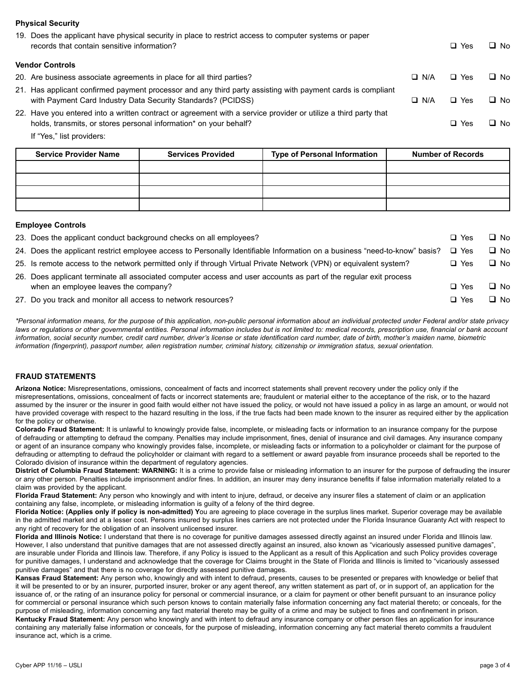## **Physical Security**

| 19. Does the applicant have physical security in place to restrict access to computer systems or paper<br>records that contain sensitive information?                                |            | $\Box$ Yes | $\Box$ No |
|--------------------------------------------------------------------------------------------------------------------------------------------------------------------------------------|------------|------------|-----------|
| <b>Vendor Controls</b>                                                                                                                                                               |            |            |           |
| 20. Are business associate agreements in place for all third parties?                                                                                                                | $\Box$ N/A | $\Box$ Yes | $\Box$ No |
| 21. Has applicant confirmed payment processor and any third party assisting with payment cards is compliant<br>with Payment Card Industry Data Security Standards? (PCIDSS)          | $\Box$ N/A | $\Box$ Yes | $\Box$ No |
| 22. Have you entered into a written contract or agreement with a service provider or utilize a third party that<br>holds, transmits, or stores personal information* on your behalf? |            | $\Box$ Yes | $\Box$ No |
| If "Yes," list providers:                                                                                                                                                            |            |            |           |

| <b>Service Provider Name</b> | <b>Services Provided</b> | <b>Type of Personal Information</b> | <b>Number of Records</b> |
|------------------------------|--------------------------|-------------------------------------|--------------------------|
|                              |                          |                                     |                          |
|                              |                          |                                     |                          |
|                              |                          |                                     |                          |
|                              |                          |                                     |                          |

### **Employee Controls**

| 23. Does the applicant conduct background checks on all employees?                                                               | $\Box$ Yes | $\Box$ No |
|----------------------------------------------------------------------------------------------------------------------------------|------------|-----------|
| 24. Does the applicant restrict employee access to Personally Identifiable Information on a business "need-to-know" basis? □ Yes |            | $\Box$ No |
| 25. Is remote access to the network permitted only if through Virtual Private Network (VPN) or equivalent system?                | $\Box$ Yes | $\Box$ No |
| 26. Does applicant terminate all associated computer access and user accounts as part of the regular exit process                |            |           |
| when an employee leaves the company?                                                                                             | $\Box$ Yes | $\Box$ No |
| 27. Do you track and monitor all access to network resources?                                                                    | $\Box$ Yes | $\Box$ No |

*\*Personal information means, for the purpose of this application, non-public personal information about an individual protected under Federal and/or state privacy*  laws or regulations or other governmental entities. Personal information includes but is not limited to: medical records, prescription use, financial or bank account *information, social security number, credit card number, driver's license or state identification card number, date of birth, mother's maiden name, biometric information (fingerprint), passport number, alien registration number, criminal history, citizenship or immigration status, sexual orientation.*

### **FRAUD STATEMENTS**

**Arizona Notice:** Misrepresentations, omissions, concealment of facts and incorrect statements shall prevent recovery under the policy only if the misrepresentations, omissions, concealment of facts or incorrect statements are; fraudulent or material either to the acceptance of the risk, or to the hazard assumed by the insurer or the insurer in good faith would either not have issued the policy, or would not have issued a policy in as large an amount, or would not have provided coverage with respect to the hazard resulting in the loss, if the true facts had been made known to the insurer as required either by the application for the policy or otherwise.

**Colorado Fraud Statement:** It is unlawful to knowingly provide false, incomplete, or misleading facts or information to an insurance company for the purpose of defrauding or attempting to defraud the company. Penalties may include imprisonment, fines, denial of insurance and civil damages. Any insurance company or agent of an insurance company who knowingly provides false, incomplete, or misleading facts or information to a policyholder or claimant for the purpose of defrauding or attempting to defraud the policyholder or claimant with regard to a settlement or award payable from insurance proceeds shall be reported to the Colorado division of insurance within the department of regulatory agencies.

**District of Columbia Fraud Statement: WARNING:** It is a crime to provide false or misleading information to an insurer for the purpose of defrauding the insurer or any other person. Penalties include imprisonment and/or fines. In addition, an insurer may deny insurance benefits if false information materially related to a claim was provided by the applicant.

**Florida Fraud Statement:** Any person who knowingly and with intent to injure, defraud, or deceive any insurer files a statement of claim or an application containing any false, incomplete, or misleading information is guilty of a felony of the third degree.

**Florida Notice: (Applies only if policy is non-admitted) Y**ou are agreeing to place coverage in the surplus lines market. Superior coverage may be available in the admitted market and at a lesser cost. Persons insured by surplus lines carriers are not protected under the Florida Insurance Guaranty Act with respect to any right of recovery for the obligation of an insolvent unlicensed insurer.

**Florida and Illinois Notice:** I understand that there is no coverage for punitive damages assessed directly against an insured under Florida and Illinois law. However, I also understand that punitive damages that are not assessed directly against an insured, also known as "vicariously assessed punitive damages", are insurable under Florida and Illinois law. Therefore, if any Policy is issued to the Applicant as a result of this Application and such Policy provides coverage for punitive damages, I understand and acknowledge that the coverage for Claims brought in the State of Florida and Illinois is limited to "vicariously assessed punitive damages" and that there is no coverage for directly assessed punitive damages.

**Kansas Fraud Statement:** Any person who, knowingly and with intent to defraud, presents, causes to be presented or prepares with knowledge or belief that it will be presented to or by an insurer, purported insurer, broker or any agent thereof, any written statement as part of, or in support of, an application for the issuance of, or the rating of an insurance policy for personal or commercial insurance, or a claim for payment or other benefit pursuant to an insurance policy for commercial or personal insurance which such person knows to contain materially false information concerning any fact material thereto; or conceals, for the purpose of misleading, information concerning any fact material thereto may be guilty of a crime and may be subject to fines and confinement in prison. **Kentucky Fraud Statement:** Any person who knowingly and with intent to defraud any insurance company or other person files an application for insurance

containing any materially false information or conceals, for the purpose of misleading, information concerning any fact material thereto commits a fraudulent insurance act, which is a crime.